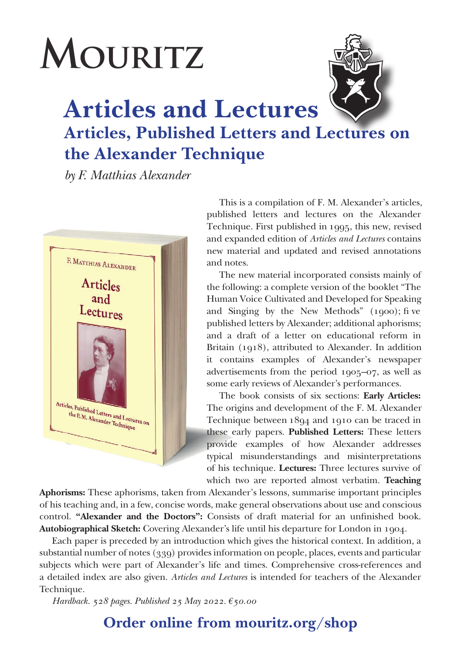## **MOURITZ**



**Articles and Lectures Articles, Published Letters and Lectures on the Alexander Technique**

*by F. Matthias Alexander*



This is a compilation of F. M. Alexander's articles, published letters and lectures on the Alexander Technique. First published in 1995, this new, revised and expanded edition of *Articles and Lectures* contains new material and updated and revised annotations and notes.

The new material incorporated consists mainly of the following: a complete version of the booklet "The Human Voice Cultivated and Developed for Speaking and Singing by the New Methods" (1900); fi ve published letters by Alexander; additional aphorisms; and a draft of a letter on educational reform in Britain (1918), attributed to Alexander. In addition it contains examples of Alexander's newspaper advertisements from the period 1905–07, as well as some early reviews of Alexander's performances.

The book consists of six sections: **Early Articles:**  The origins and development of the F. M. Alexander Technique between 1894 and 1910 can be traced in these early papers. **Published Letters:** These letters provide examples of how Alexander addresses typical misunderstandings and misinterpretations of his technique. **Lectures:** Three lectures survive of which two are reported almost verbatim. **Teaching** 

**Aphorisms:** These aphorisms, taken from Alexander's lessons, summarise important principles of his teaching and, in a few, concise words, make general observations about use and conscious control. **"Alexander and the Doctors":** Consists of draft material for an unfinished book. **Autobiographical Sketch:** Covering Alexander's life until his departure for London in 1904.

Each paper is preceded by an introduction which gives the historical context. In addition, a substantial number of notes (339) provides information on people, places, events and particular subjects which were part of Alexander's life and times. Comprehensive cross-references and a detailed index are also given. *Articles and Lectures* is intended for teachers of the Alexander Technique.

*Hardback. 528 pages. Published 25 May 2022. €50.00*

**Order online from mouritz.org/shop**